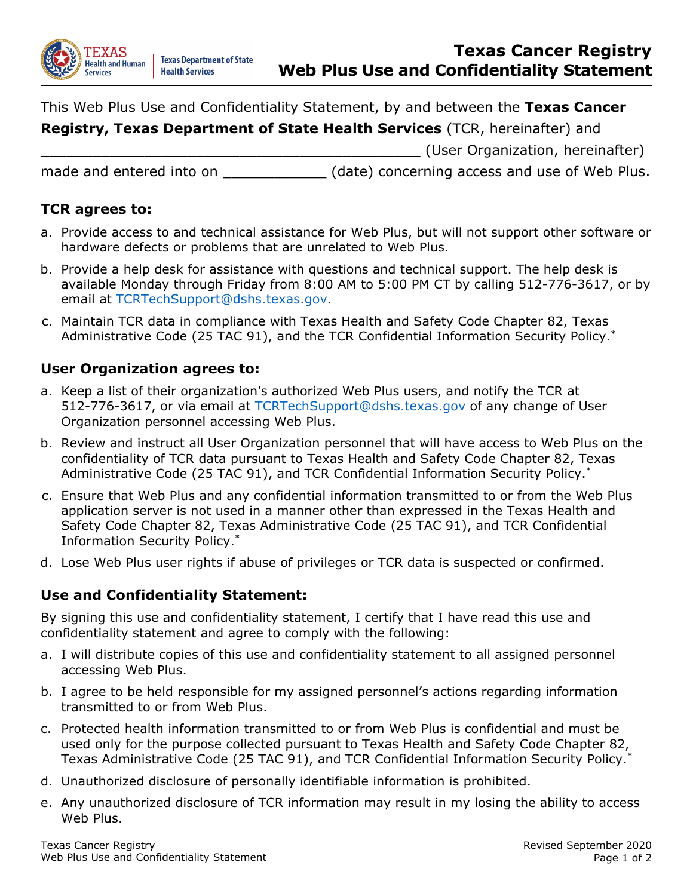

This Web Plus Use and Confidentiality Statement, by and between the **Texas Cancer** 

**Registry, Texas Department of State Health Services** (TCR, hereinafter) and

\_\_\_\_\_\_\_\_\_\_\_\_\_\_\_\_\_\_\_\_\_\_\_\_\_\_\_\_\_\_\_\_\_\_\_\_\_\_\_\_\_\_\_\_ (User Organization, hereinafter)

made and entered into on Theorem (date) concerning access and use of Web Plus.

## **TCR agrees to:**

- a. Provide access to and technical assistance for Web Plus, but will not support other software or hardware defects or problems that are unrelated to Web Plus.
- b. Provide a help desk for assistance with questions and technical support. The help desk is available Monday through Friday from 8:00 AM to 5:00 PM CT by calling 512-776-3617, or by email at TCRTechSupport@dshs.texas.gov.
- c. Maintain TCR data in compliance with Texas Health and Safety Code Chapter 82, Texas Administrative Code (25 TAC 91), and the TCR Confidential Information Security Policy.\*

## **User Organization agrees to:**

- a. Keep a list of their organization's authorized Web Plus users, and notify the TCR at 512-776-3617, or via email at TCRTechSupport@dshs.texas.gov of any change of User Organization personnel accessing Web Plus.
- b. Review and instruct all User Organization personnel that will have access to Web Plus on the confidentiality of TCR data pursuant to Texas Health and Safety Code Chapter 82, Texas Administrative Code (25 TAC 91), and TCR Confidential Information Security Policy.\*
- c. Ensure that Web Plus and any confidential information transmitted to or from the Web Plus application server is not used in a manner other than expressed in the Texas Health and Safety Code Chapter 82, Texas Administrative Code (25 TAC 91), and TCR Confidential Information Security Policy.\*
- d. Lose Web Plus user rights if abuse of privileges or TCR data is suspected or confirmed.

## **Use and Confidentiality Statement:**

By signing this use and confidentiality statement, I certify that I have read this use and confidentiality statement and agree to comply with the following:

- a. I will distribute copies of this use and confidentiality statement to all assigned personnel accessing Web Plus.
- b. I agree to be held responsible for my assigned personnel's actions regarding information transmitted to or from Web Plus.
- c. Protected health information transmitted to or from Web Plus is confidential and must be used only for the purpose collected pursuant to Texas Health and Safety Code Chapter 82, Texas Administrative Code (25 TAC 91), and TCR Confidential Information Security Policy.\*
- d. Unauthorized disclosure of personally identifiable information is prohibited.
- e. Any unauthorized disclosure of TCR information may result in my losing the ability to access Web Plus.